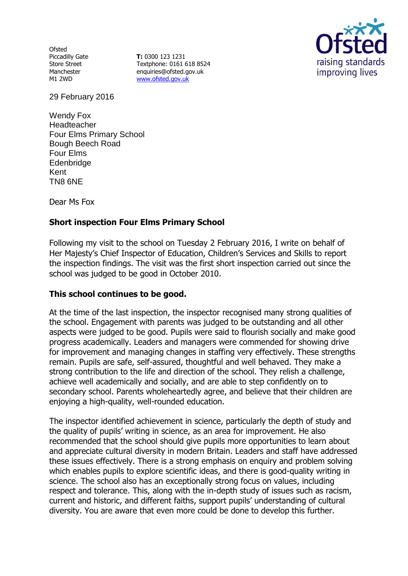**Ofsted** Piccadilly Gate Store Street Manchester M1 2WD

**T:** 0300 123 1231 Textphone: 0161 618 8524 enquiries@ofsted.gov.uk [www.ofsted.gov.uk](http://www.ofsted.gov.uk/)



29 February 2016

Wendy Fox Headteacher Four Elms Primary School Bough Beech Road Four Elms **Edenbridge** Kent TN8 6NE

Dear Ms Fox

# **Short inspection Four Elms Primary School**

Following my visit to the school on Tuesday 2 February 2016, I write on behalf of Her Majesty's Chief Inspector of Education, Children's Services and Skills to report the inspection findings. The visit was the first short inspection carried out since the school was judged to be good in October 2010.

#### **This school continues to be good.**

At the time of the last inspection, the inspector recognised many strong qualities of the school. Engagement with parents was judged to be outstanding and all other aspects were judged to be good. Pupils were said to flourish socially and make good progress academically. Leaders and managers were commended for showing drive for improvement and managing changes in staffing very effectively. These strengths remain. Pupils are safe, self-assured, thoughtful and well behaved. They make a strong contribution to the life and direction of the school. They relish a challenge, achieve well academically and socially, and are able to step confidently on to secondary school. Parents wholeheartedly agree, and believe that their children are enjoying a high-quality, well-rounded education.

The inspector identified achievement in science, particularly the depth of study and the quality of pupils' writing in science, as an area for improvement. He also recommended that the school should give pupils more opportunities to learn about and appreciate cultural diversity in modern Britain. Leaders and staff have addressed these issues effectively. There is a strong emphasis on enquiry and problem solving which enables pupils to explore scientific ideas, and there is good-quality writing in science. The school also has an exceptionally strong focus on values, including respect and tolerance. This, along with the in-depth study of issues such as racism, current and historic, and different faiths, support pupils' understanding of cultural diversity. You are aware that even more could be done to develop this further.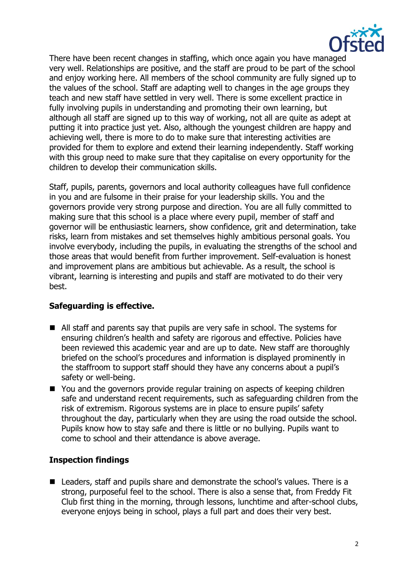

There have been recent changes in staffing, which once again you have managed very well. Relationships are positive, and the staff are proud to be part of the school and enjoy working here. All members of the school community are fully signed up to the values of the school. Staff are adapting well to changes in the age groups they teach and new staff have settled in very well. There is some excellent practice in fully involving pupils in understanding and promoting their own learning, but although all staff are signed up to this way of working, not all are quite as adept at putting it into practice just yet. Also, although the youngest children are happy and achieving well, there is more to do to make sure that interesting activities are provided for them to explore and extend their learning independently. Staff working with this group need to make sure that they capitalise on every opportunity for the children to develop their communication skills.

Staff, pupils, parents, governors and local authority colleagues have full confidence in you and are fulsome in their praise for your leadership skills. You and the governors provide very strong purpose and direction. You are all fully committed to making sure that this school is a place where every pupil, member of staff and governor will be enthusiastic learners, show confidence, grit and determination, take risks, learn from mistakes and set themselves highly ambitious personal goals. You involve everybody, including the pupils, in evaluating the strengths of the school and those areas that would benefit from further improvement. Self-evaluation is honest and improvement plans are ambitious but achievable. As a result, the school is vibrant, learning is interesting and pupils and staff are motivated to do their very best.

#### **Safeguarding is effective.**

- All staff and parents say that pupils are very safe in school. The systems for ensuring children's health and safety are rigorous and effective. Policies have been reviewed this academic year and are up to date. New staff are thoroughly briefed on the school's procedures and information is displayed prominently in the staffroom to support staff should they have any concerns about a pupil's safety or well-being.
- You and the governors provide regular training on aspects of keeping children safe and understand recent requirements, such as safeguarding children from the risk of extremism. Rigorous systems are in place to ensure pupils' safety throughout the day, particularly when they are using the road outside the school. Pupils know how to stay safe and there is little or no bullying. Pupils want to come to school and their attendance is above average.

#### **Inspection findings**

■ Leaders, staff and pupils share and demonstrate the school's values. There is a strong, purposeful feel to the school. There is also a sense that, from Freddy Fit Club first thing in the morning, through lessons, lunchtime and after-school clubs, everyone enjoys being in school, plays a full part and does their very best.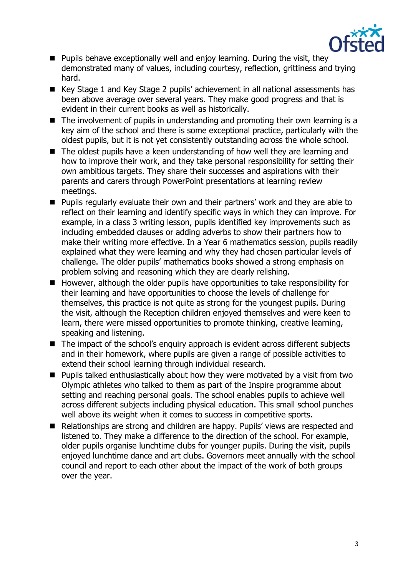

- **Pupils behave exceptionally well and enjoy learning. During the visit, they** demonstrated many of values, including courtesy, reflection, grittiness and trying hard.
- Key Stage 1 and Key Stage 2 pupils' achievement in all national assessments has been above average over several years. They make good progress and that is evident in their current books as well as historically.
- $\blacksquare$  The involvement of pupils in understanding and promoting their own learning is a key aim of the school and there is some exceptional practice, particularly with the oldest pupils, but it is not yet consistently outstanding across the whole school.
- The oldest pupils have a keen understanding of how well they are learning and how to improve their work, and they take personal responsibility for setting their own ambitious targets. They share their successes and aspirations with their parents and carers through PowerPoint presentations at learning review meetings.
- Pupils regularly evaluate their own and their partners' work and they are able to reflect on their learning and identify specific ways in which they can improve. For example, in a class 3 writing lesson, pupils identified key improvements such as including embedded clauses or adding adverbs to show their partners how to make their writing more effective. In a Year 6 mathematics session, pupils readily explained what they were learning and why they had chosen particular levels of challenge. The older pupils' mathematics books showed a strong emphasis on problem solving and reasoning which they are clearly relishing.
- $\blacksquare$  However, although the older pupils have opportunities to take responsibility for their learning and have opportunities to choose the levels of challenge for themselves, this practice is not quite as strong for the youngest pupils. During the visit, although the Reception children enjoyed themselves and were keen to learn, there were missed opportunities to promote thinking, creative learning, speaking and listening.
- The impact of the school's enquiry approach is evident across different subjects and in their homework, where pupils are given a range of possible activities to extend their school learning through individual research.
- $\blacksquare$  Pupils talked enthusiastically about how they were motivated by a visit from two Olympic athletes who talked to them as part of the Inspire programme about setting and reaching personal goals. The school enables pupils to achieve well across different subjects including physical education. This small school punches well above its weight when it comes to success in competitive sports.
- Relationships are strong and children are happy. Pupils' views are respected and listened to. They make a difference to the direction of the school. For example, older pupils organise lunchtime clubs for younger pupils. During the visit, pupils enjoyed lunchtime dance and art clubs. Governors meet annually with the school council and report to each other about the impact of the work of both groups over the year.